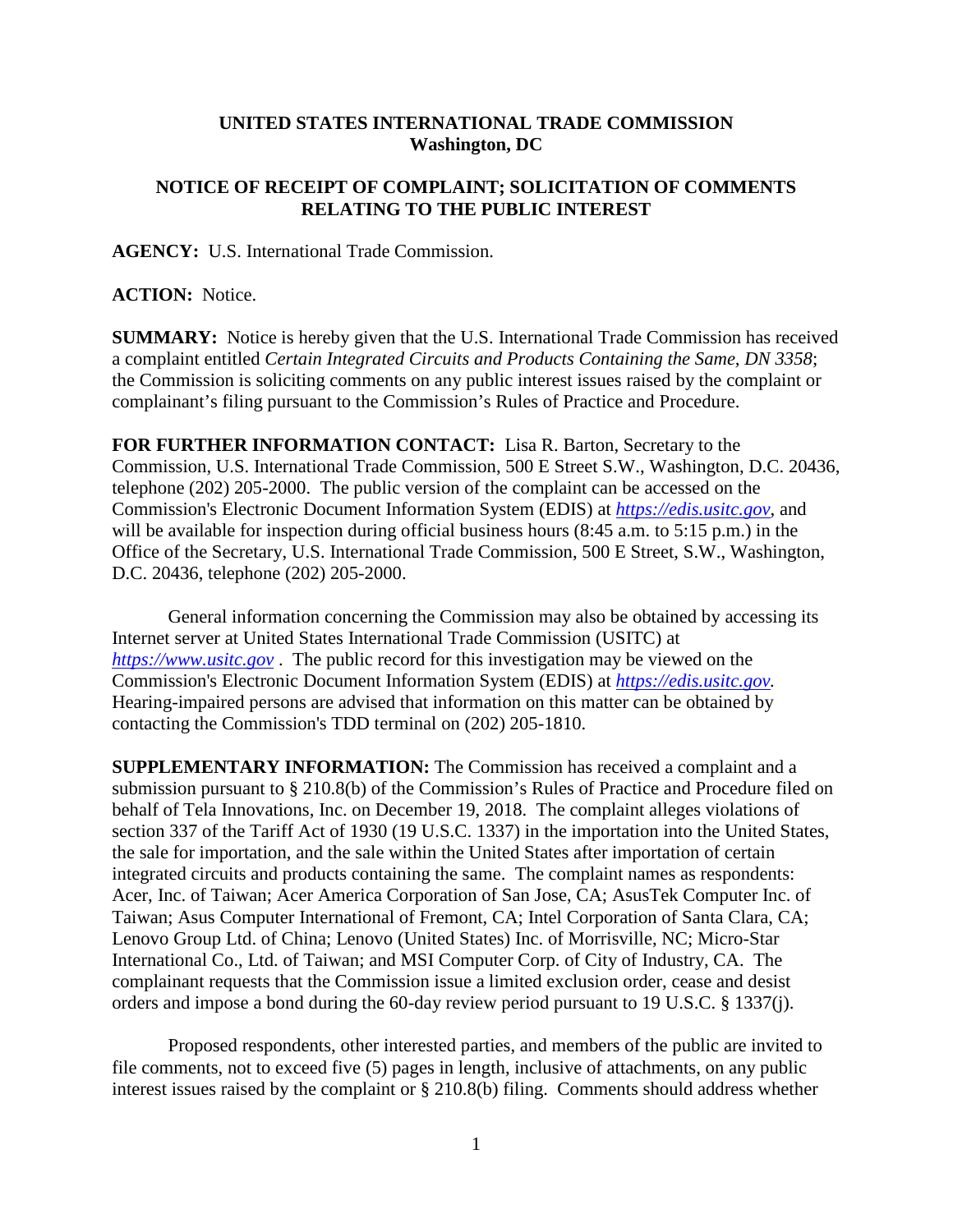## **UNITED STATES INTERNATIONAL TRADE COMMISSION Washington, DC**

## **NOTICE OF RECEIPT OF COMPLAINT; SOLICITATION OF COMMENTS RELATING TO THE PUBLIC INTEREST**

**AGENCY:** U.S. International Trade Commission.

## **ACTION:** Notice.

**SUMMARY:** Notice is hereby given that the U.S. International Trade Commission has received a complaint entitled *Certain Integrated Circuits and Products Containing the Same, DN 3358*; the Commission is soliciting comments on any public interest issues raised by the complaint or complainant's filing pursuant to the Commission's Rules of Practice and Procedure.

**FOR FURTHER INFORMATION CONTACT:** Lisa R. Barton, Secretary to the Commission, U.S. International Trade Commission, 500 E Street S.W., Washington, D.C. 20436, telephone (202) 205-2000. The public version of the complaint can be accessed on the Commission's Electronic Document Information System (EDIS) at *[https://edis.usitc.gov](https://edis.usitc.gov/)*, and will be available for inspection during official business hours (8:45 a.m. to 5:15 p.m.) in the Office of the Secretary, U.S. International Trade Commission, 500 E Street, S.W., Washington, D.C. 20436, telephone (202) 205-2000.

General information concerning the Commission may also be obtained by accessing its Internet server at United States International Trade Commission (USITC) at *[https://www.usitc.gov](https://www.usitc.gov/)* . The public record for this investigation may be viewed on the Commission's Electronic Document Information System (EDIS) at *[https://edis.usitc.gov.](https://edis.usitc.gov/)* Hearing-impaired persons are advised that information on this matter can be obtained by contacting the Commission's TDD terminal on (202) 205-1810.

**SUPPLEMENTARY INFORMATION:** The Commission has received a complaint and a submission pursuant to § 210.8(b) of the Commission's Rules of Practice and Procedure filed on behalf of Tela Innovations, Inc. on December 19, 2018. The complaint alleges violations of section 337 of the Tariff Act of 1930 (19 U.S.C. 1337) in the importation into the United States, the sale for importation, and the sale within the United States after importation of certain integrated circuits and products containing the same. The complaint names as respondents: Acer, Inc. of Taiwan; Acer America Corporation of San Jose, CA; AsusTek Computer Inc. of Taiwan; Asus Computer International of Fremont, CA; Intel Corporation of Santa Clara, CA; Lenovo Group Ltd. of China; Lenovo (United States) Inc. of Morrisville, NC; Micro-Star International Co., Ltd. of Taiwan; and MSI Computer Corp. of City of Industry, CA. The complainant requests that the Commission issue a limited exclusion order, cease and desist orders and impose a bond during the 60-day review period pursuant to 19 U.S.C. § 1337(j).

Proposed respondents, other interested parties, and members of the public are invited to file comments, not to exceed five (5) pages in length, inclusive of attachments, on any public interest issues raised by the complaint or § 210.8(b) filing. Comments should address whether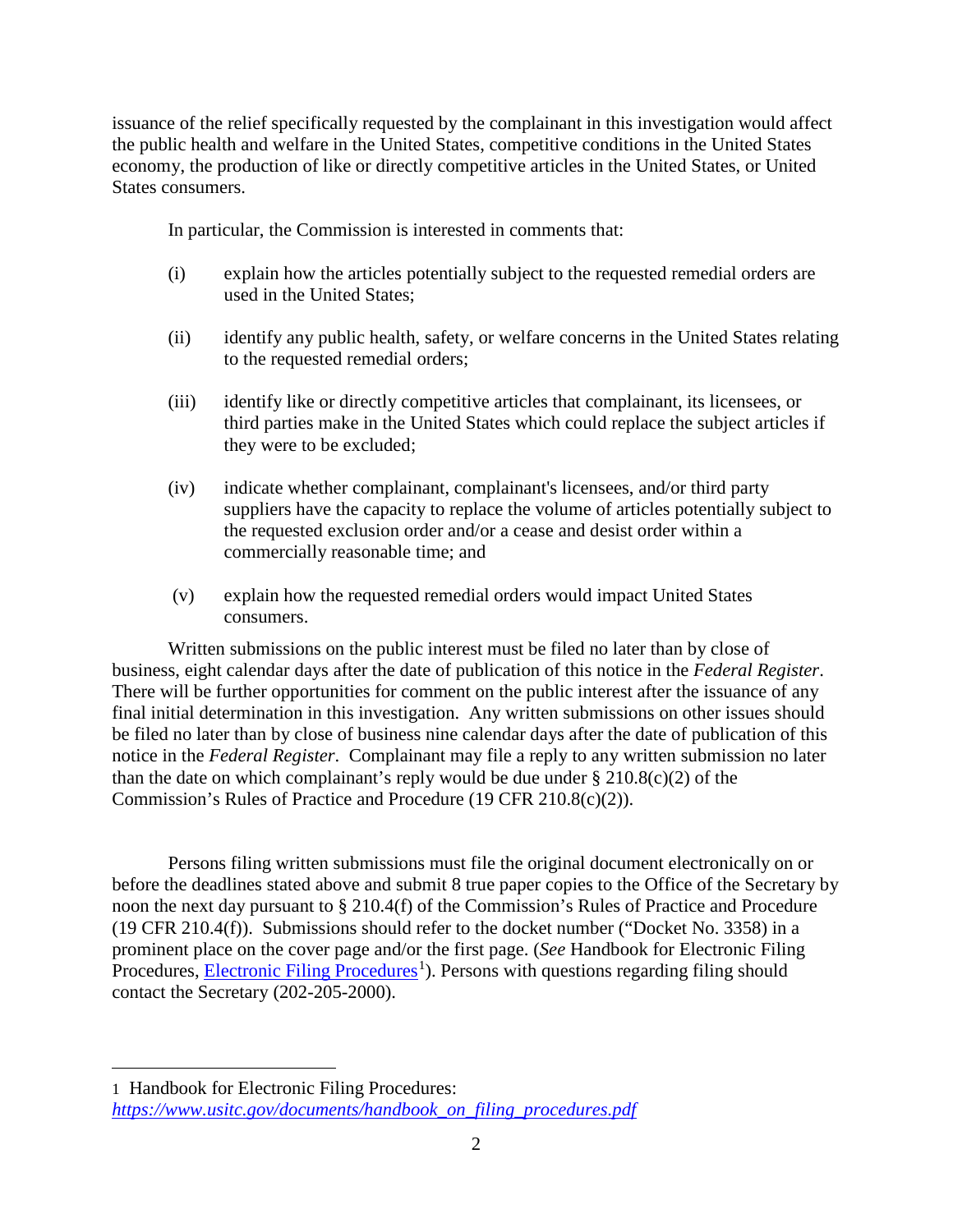issuance of the relief specifically requested by the complainant in this investigation would affect the public health and welfare in the United States, competitive conditions in the United States economy, the production of like or directly competitive articles in the United States, or United States consumers.

In particular, the Commission is interested in comments that:

- (i) explain how the articles potentially subject to the requested remedial orders are used in the United States;
- (ii) identify any public health, safety, or welfare concerns in the United States relating to the requested remedial orders;
- (iii) identify like or directly competitive articles that complainant, its licensees, or third parties make in the United States which could replace the subject articles if they were to be excluded;
- (iv) indicate whether complainant, complainant's licensees, and/or third party suppliers have the capacity to replace the volume of articles potentially subject to the requested exclusion order and/or a cease and desist order within a commercially reasonable time; and
- (v) explain how the requested remedial orders would impact United States consumers.

Written submissions on the public interest must be filed no later than by close of business, eight calendar days after the date of publication of this notice in the *Federal Register*. There will be further opportunities for comment on the public interest after the issuance of any final initial determination in this investigation. Any written submissions on other issues should be filed no later than by close of business nine calendar days after the date of publication of this notice in the *Federal Register*. Complainant may file a reply to any written submission no later than the date on which complainant's reply would be due under  $\S 210.8(c)(2)$  of the Commission's Rules of Practice and Procedure (19 CFR 210.8(c)(2)).

Persons filing written submissions must file the original document electronically on or before the deadlines stated above and submit 8 true paper copies to the Office of the Secretary by noon the next day pursuant to § 210.4(f) of the Commission's Rules of Practice and Procedure (19 CFR 210.4(f)). Submissions should refer to the docket number ("Docket No. 3358) in a prominent place on the cover page and/or the first page. (*See* Handbook for Electronic Filing Procedures, **Electronic Filing Procedures**<sup>[1](#page-1-0)</sup>). Persons with questions regarding filing should contact the Secretary (202-205-2000).

 $\overline{a}$ 

<span id="page-1-0"></span><sup>1</sup> Handbook for Electronic Filing Procedures: *[https://www.usitc.gov/documents/handbook\\_on\\_filing\\_procedures.pdf](https://www.usitc.gov/documents/handbook_on_filing_procedures.pdf)*